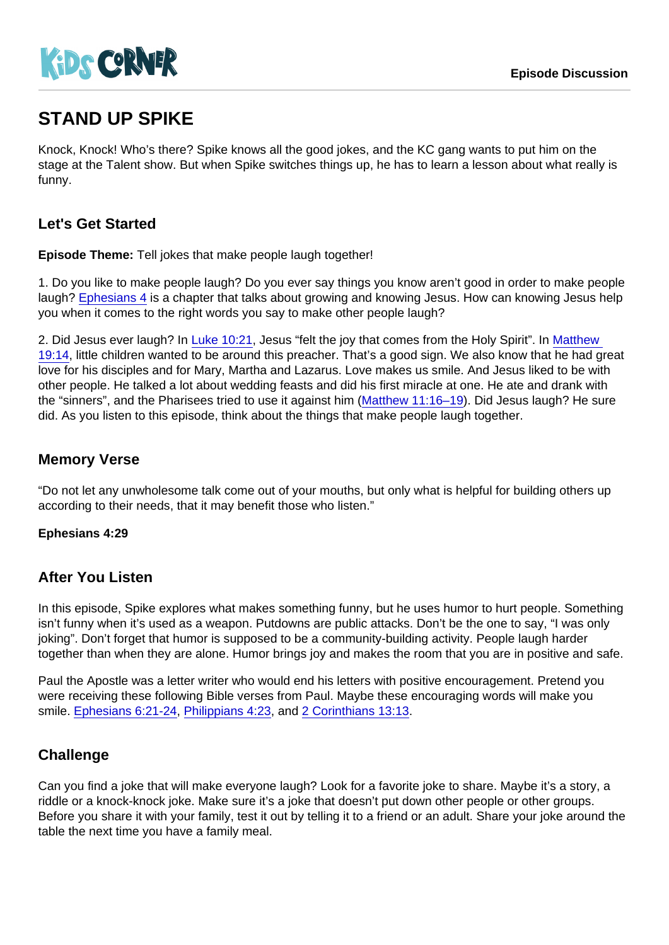# STAND UP SPIKE

Knock, Knock! Who's there? Spike knows all the good jokes, and the KC gang wants to put him on the stage at the Talent show. But when Spike switches things up, he has to learn a lesson about what really is funny.

### Let's Get Started

Episode Theme: Tell jokes that make people laugh together!

1. Do you like to make people laugh? Do you ever say things you know aren't good in order to make people laugh? [Ephesians 4](https://www.biblegateway.com/passage/?search=Ephesians+4) is a chapter that talks about growing and knowing Jesus. How can knowing Jesus help you when it comes to the right words you say to make other people laugh?

2. Did Jesus ever laugh? In [Luke 10:21,](https://www.biblegateway.com/passage/?search=Luke+10:21) Jesus "felt the joy that comes from the Holy Spirit". In [Matthew](https://www.biblegateway.com/passage/?search=Matthew+19:14)  [19:14,](https://www.biblegateway.com/passage/?search=Matthew+19:14) little children wanted to be around this preacher. That's a good sign. We also know that he had great love for his disciples and for Mary, Martha and Lazarus. Love makes us smile. And Jesus liked to be with other people. He talked a lot about wedding feasts and did his first miracle at one. He ate and drank with the "sinners", and the Pharisees tried to use it against him ([Matthew 11:16–19](https://www.biblegateway.com/passage/?search=Matthew+11:16–19)). Did Jesus laugh? He sure did. As you listen to this episode, think about the things that make people laugh together.

#### Memory Verse

"Do not let any unwholesome talk come out of your mouths, but only what is helpful for building others up according to their needs, that it may benefit those who listen."

Ephesians 4:29

#### After You Listen

In this episode, Spike explores what makes something funny, but he uses humor to hurt people. Something isn't funny when it's used as a weapon. Putdowns are public attacks. Don't be the one to say, "I was only joking". Don't forget that humor is supposed to be a community-building activity. People laugh harder together than when they are alone. Humor brings joy and makes the room that you are in positive and safe.

Paul the Apostle was a letter writer who would end his letters with positive encouragement. Pretend you were receiving these following Bible verses from Paul. Maybe these encouraging words will make you smile. [Ephesians 6:21-24,](https://www.biblegateway.com/passage/?search=Ephesians+6:21-24) [Philippians 4:23](https://www.biblegateway.com/passage/?search=Philippians+4:23), and [2 Corinthians 13:13](https://www.biblegateway.com/passage/?search=2+Corinthians+13:13).

#### **Challenge**

Can you find a joke that will make everyone laugh? Look for a favorite joke to share. Maybe it's a story, a riddle or a knock-knock joke. Make sure it's a joke that doesn't put down other people or other groups. Before you share it with your family, test it out by telling it to a friend or an adult. Share your joke around the table the next time you have a family meal.